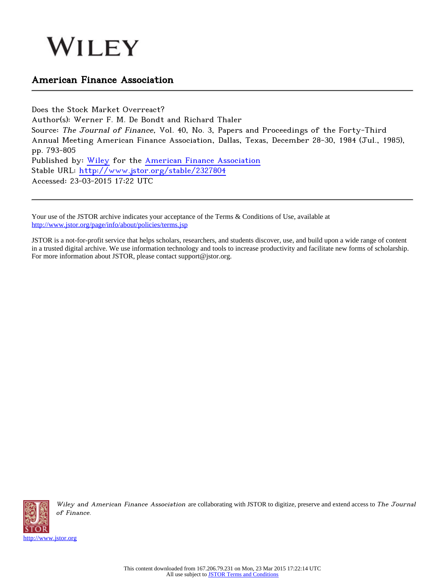# WILEY

# American Finance Association

Does the Stock Market Overreact? Author(s): Werner F. M. De Bondt and Richard Thaler Source: The Journal of Finance, Vol. 40, No. 3, Papers and Proceedings of the Forty-Third Annual Meeting American Finance Association, Dallas, Texas, December 28-30, 1984 (Jul., 1985), pp. 793-805 Published by: [Wiley](http://www.jstor.org/action/showPublisher?publisherCode=black) for the [American Finance Association](http://www.jstor.org/action/showPublisher?publisherCode=afina) Stable URL: <http://www.jstor.org/stable/2327804> Accessed: 23-03-2015 17:22 UTC

Your use of the JSTOR archive indicates your acceptance of the Terms & Conditions of Use, available at <http://www.jstor.org/page/info/about/policies/terms.jsp>

JSTOR is a not-for-profit service that helps scholars, researchers, and students discover, use, and build upon a wide range of content in a trusted digital archive. We use information technology and tools to increase productivity and facilitate new forms of scholarship. For more information about JSTOR, please contact support@jstor.org.



Wiley and American Finance Association are collaborating with JSTOR to digitize, preserve and extend access to The Journal of Finance.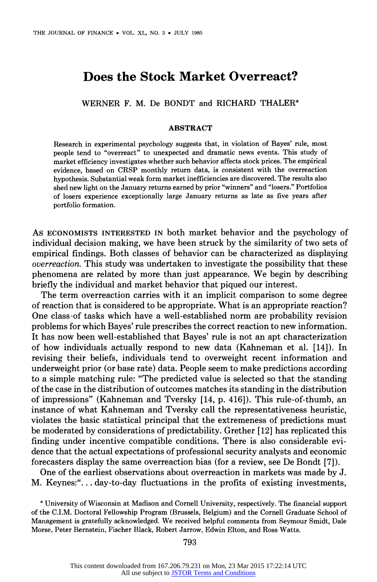# **Does the Stock Market Overreact?**

**WERNER F. M. De BONDT and RICHARD THALER\*** 

#### **ABSTRACT**

**Research in experimental psychology suggests that, in violation of Bayes' rule, most people tend to "overreact" to unexpected and dramatic news events. This study of market efficiency investigates whether such behavior affects stock prices. The empirical evidence, based on CRSP monthly return data, is consistent with the overreaction hypothesis. Substantial weak form market inefficiencies are discovered. The results also shed new light on the January returns earned by prior "winners" and "losers." Portfolios of losers experience exceptionally large January returns as late as five years after portfolio formation.** 

**As ECONOMISTS INTERESTED IN both market behavior and the psychology of individual decision making, we have been struck by the similarity of two sets of empirical findings. Both classes of behavior can be characterized as displaying overreaction. This study was undertaken to investigate the possibility that these phenomena are related by more than just appearance. We begin by describing briefly the individual and market behavior that piqued our interest.** 

**The term overreaction carries with it an implicit comparison to some degree of reaction that is considered to be appropriate. What is an appropriate reaction?**  One class of tasks which have a well-established norm are probability revision **problems for which Bayes' rule prescribes the correct reaction to new information. It has now been well-established that Bayes' rule is not an apt characterization of how individuals actually respond to new data (Kahneman et al. [14]). In revising their beliefs, individuals tend to overweight recent information and underweight prior (or base rate) data. People seem to make predictions according to a simple matching rule: "The predicted value is selected so that the standing of the case in the distribution of outcomes matches its standing in the distribution of impressions" (Kahneman and Tversky [14, p. 416]). This rule-of-thumb, an instance of what Kahneman and Tversky call the representativeness heuristic, violates the basic statistical principal that the extremeness of predictions must be moderated by considerations of predictability. Grether [12] has replicated this finding under incentive compatible conditions. There is also considerable evidence that the actual expectations of professional security analysts and economic forecasters display the same overreaction bias (for a review, see De Bondt [7]).** 

**One of the earliest observations about overreaction in markets was made by J. M. Keynes:"... day-to-day fluctuations in the profits of existing investments,** 

**<sup>\*</sup> University of Wisconsin at Madison and Cornell University, respectively. The financial support of the C.I.M. Doctoral Fellowship Program (Brussels, Belgium) and the Cornell Graduate School of Management is gratefully acknowledged. We received helpful comments from Seymour Smidt, Dale Morse, Peter Bernstein, Fischer Black, Robert Jarrow, Edwin Elton, and Ross Watts.**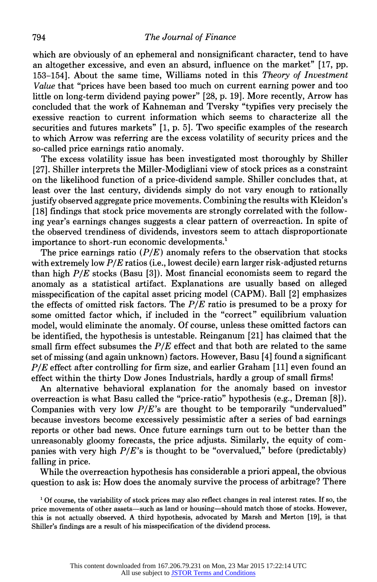**which are obviously of an ephemeral and nonsignificant character, tend to have an altogether excessive, and even an absurd, influence on the market" [17, pp. 153-154]. About the same time, Williams noted in this Theory of Investment Value that "prices have been based too much on current earning power and too little on long-term dividend paying power" [28, p. 19]. More recently, Arrow has concluded that the work of Kahneman and Tversky "typifies very precisely the exessive reaction to current information which seems to characterize all the securities and futures markets" [1, p. 5]. Two specific examples of the research to which Arrow was referring are the excess volatility of security prices and the so-called price earnings ratio anomaly.** 

**The excess volatility issue has been investigated most thoroughly by Shiller [27]. Shiller interprets the Miller-Modigliani view of stock prices as a constraint on the likelihood function of a price-dividend sample. Shiller concludes that, at least over the last century, dividends simply do not vary enough to rationally justify observed aggregate price movements. Combining the results with Kleidon's [18] findings that stock price movements are strongly correlated with the following year's earnings changes suggests a clear pattern of overreaction. In spite of the observed trendiness of dividends, investors seem to attach disproportionate importance to short-run economic developments.1** 

The price earnings ratio  $(P/E)$  anomaly refers to the observation that stocks with extremely low  $P/E$  ratios (i.e., lowest decile) earn larger risk-adjusted returns **than high PIE stocks (Basu [3]). Most financial economists seem to regard the anomaly as a statistical artifact. Explanations are usually based on alleged misspecification of the capital asset pricing model (CAPM). Ball [2] emphasizes**  the effects of omitted risk factors. The  $P/E$  ratio is presumed to be a proxy for **some omitted factor which, if included in the "correct" equilibrium valuation model, would eliminate the anomaly. Of course, unless these omitted factors can be identified, the hypothesis is untestable. Reinganum [21] has claimed that the**  small firm effect subsumes the P/E effect and that both are related to the same **set of missing (and again unknown) factors. However, Basu [4] found a significant PIE effect after controlling for firm size, and earlier Graham [11] even found an effect within the thirty Dow Jones Industrials, hardly a group of small firms!** 

**An alternative behavioral explanation for the anomaly based on investor overreaction is what Basu called the "price-ratio" hypothesis (e.g., Dreman [8]).**  Companies with very low  $P/E$ 's are thought to be temporarily "undervalued" **because investors become excessively pessimistic after a series of bad earnings reports or other bad news. Once future earnings turn out to be better than the unreasonably gloomy forecasts, the price adjusts. Similarly, the equity of com**panies with very high  $P/E$ 's is thought to be "overvalued," before (predictably) **falling in price.** 

**While the overreaction hypothesis has considerable a priori appeal, the obvious question to ask is: How does the anomaly survive the process of arbitrage? There** 

**' Of course, the variability of stock prices may also reflect changes in real interest rates. If so, the**  price movements of other assets--such as land or housing-should match those of stocks. However, **this is not actually observed. A third hypothesis, advocated by Marsh and Merton [19], is that Shiller's findings are a result of his misspecification of the dividend process.**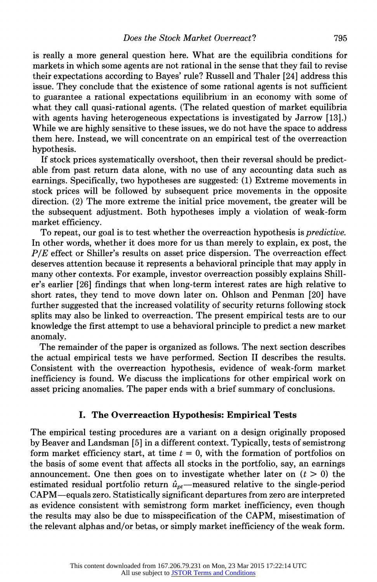**is really a more general question here. What are the equilibria conditions for markets in which some agents are not rational in the sense that they fail to revise their expectations according to Bayes' rule? Russell and Thaler [24] address this issue. They conclude that the existence of some rational agents is not sufficient to guarantee a rational expectations equilibrium in an economy with some of what they call quasi-rational agents. (The related question of market equilibria with agents having heterogeneous expectations is investigated by Jarrow [13].) While we are highly sensitive to these issues, we do not have the space to address them here. Instead, we will concentrate on an empirical test of the overreaction hypothesis.** 

**If stock prices systematically overshoot, then their reversal should be predictable from past return data alone, with no use of any accounting data such as earnings. Specifically, two hypotheses are suggested: (1) Extreme movements in stock prices will be followed by subsequent price movements in the opposite direction. (2) The more extreme the initial price movement, the greater will be the subsequent adjustment. Both hypotheses imply a violation of weak-form market efficiency.** 

**To repeat, our goal is to test whether the overreaction hypothesis is predictive. In other words, whether it does more for us than merely to explain, ex post, the P/E effect or Shiller's results on asset price dispersion. The overreaction effect deserves attention because it represents a behavioral principle that may apply in many other contexts. For example, investor overreaction possibly explains Shiller's earlier [26] findings that when long-term interest rates are high relative to short rates, they tend to move down later on. Ohlson and Penman [20] have further suggested that the increased volatility of security returns following stock splits may also be linked to overreaction. The present empirical tests are to our knowledge the first attempt to use a behavioral principle to predict a new market anomaly.** 

**The remainder of the paper is organized as follows. The next section describes the actual empirical tests we have performed. Section II describes the results. Consistent with the overreaction hypothesis, evidence of weak-form market inefficiency is found. We discuss the implications for other empirical work on asset pricing anomalies. The paper ends with a brief summary of conclusions.** 

## **I. The Overreaction Hypothesis: Empirical Tests**

**The empirical testing procedures are a variant on a design originally proposed by Beaver and Landsman [5] in a different context. Typically, tests of semistrong**  form market efficiency start, at time  $t = 0$ , with the formation of portfolios on **the basis of some event that affects all stocks in the portfolio, say, an earnings**  announcement. One then goes on to investigate whether later on  $(t > 0)$  the estimated residual portfolio return  $\hat{u}_{pt}$ —measured relative to the single-period **CAPM-equals zero. Statistically significant departures from zero are interpreted as evidence consistent with semistrong form market inefficiency, even though the results may also be due to misspecification of the CAPM, misestimation of the relevant alphas and/or betas, or simply market inefficiency of the weak form.**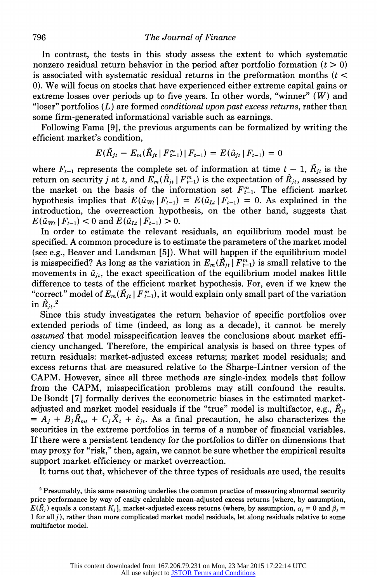**In contrast, the tests in this study assess the extent to which systematic nonzero residual return behavior in the period after portfolio formation (** $t > 0$ **) is associated with systematic residual returns in the preformation months (t < 0). We will focus on stocks that have experienced either extreme capital gains or extreme losses over periods up to five years. In other words, "winner" (W) and "loser" portfolios (L) are formed conditional upon past excess returns, rather than some firm-generated informational variable such as earnings.** 

**Following Fama [9], the previous arguments can be formalized by writing the efficient market's condition,** 

$$
E(R_{jt} - E_m(R_{jt} | F_{t-1}^m) | F_{t-1}) = E(\tilde{u}_{jt} | F_{t-1}) = 0
$$

where  $F_{t-1}$  represents the complete set of information at time  $t - 1$ ,  $\tilde{R}_{jt}$  is the **return** on security j at t, and  $\vec{E}_m(\tilde{R}_{jt} | F_{t-1}^m)$  is the expectation of  $\tilde{R}_{jt}$ , assessed by the market on the basis of the information set  $F_{t-1}^m$ . The efficient market hypothesis implies that  $E(\tilde{u}_{Wt} | F_{t-1}) = E(\tilde{u}_{Lt} | F_{t-1}) = 0$ . As explained in the **introduction, the overreaction hypothesis, on the other hand, suggests that**   $E(\tilde{u}_{Wt} | F_{t-1}) < 0$  and  $E(\tilde{u}_{Lt} | F_{t-1}) > 0$ .

**In order to estimate the relevant residuals, an equilibrium model must be specified. A common procedure is to estimate the parameters of the market model (see e.g., Beaver and Landsman [5]). What will happen if the equilibrium model**  is misspecified? As long as the variation in  $E_m(\tilde{R}_{jt} | F_{t-1}^m)$  is small relative to the movements in  $\tilde{u}_{it}$ , the exact specification of the equilibrium model makes little **difference to tests of the efficient market hypothesis. For, even if we knew the**  "correct" model of  $E_m(\tilde{R}_{it} | F_{t-1}^m)$ , it would explain only small part of the variation  $\sin \tilde{R}_{it}$ <sup>2</sup>

**Since this study investigates the return behavior of specific portfolios over extended periods of time (indeed, as long as a decade), it cannot be merely assumed that model misspecification leaves the conclusions about market efficiency unchanged. Therefore, the empirical analysis is based on three types of return residuals: market-adjusted excess returns; market model residuals; and excess returns that are measured relative to the Sharpe-Lintner version of the CAPM. However, since all three methods are single-index models that follow from the CAPM, misspecification problems may still confound the results. De Bondt [7] formally derives the econometric biases in the estimated market**adjusted and market model residuals if the "true" model is multifactor, e.g.,  $\tilde{R}_{it}$  $A_i + B_j \tilde{R}_{mt} + C_j \tilde{X}_t + \tilde{e}_{jt}$ . As a final precaution, he also characterizes the **securities in the extreme portfolios in terms of a number of financial variables. If there were a persistent tendency for the portfolios to differ on dimensions that may proxy for "risk," then, again, we cannot be sure whether the empirical results support market efficiency or market overreaction.** 

**It turns out that, whichever of the three types of residuals are used, the results** 

**<sup>2</sup>Presumably, this same reasoning underlies the common practice of measuring abnormal security price performance by way of easily calculable mean-adjusted excess returns [where, by assumption,**   $E(\tilde{R}_i)$  equals a constant  $K_j$ ], market-adjusted excess returns (where, by assumption,  $\alpha_j = 0$  and  $\beta_j = 0$ **1 for all j), rather than more complicated market model residuals, let along residuals relative to some multifactor model.**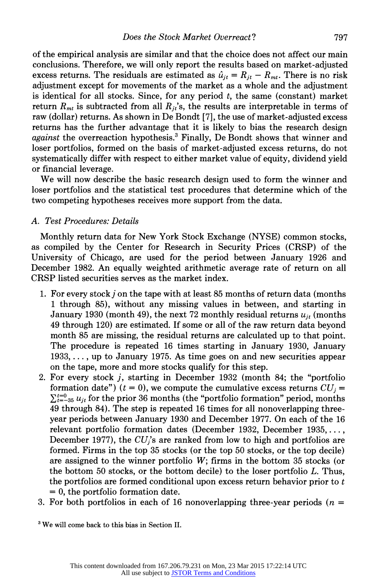**of the empirical analysis are similar and that the choice does not affect our main conclusions. Therefore, we will only report the results based on market-adjusted excess returns.** The residuals are estimated as  $\hat{u}_{it} = R_{it} - R_{mt}$ . There is no risk **adjustment except for movements of the market as a whole and the adjustment**  is identical for all stocks. Since, for any period  $t$ , the same (constant) market **return**  $R_{mt}$  **is subtracted from all**  $R_{it}$ **'s, the results are interpretable in terms of raw (dollar) returns. As shown in-De Bondt [7], the use of market-adjusted excess returns has the further advantage that it is likely to bias the research design against the overreaction hypothesis.3 Finally, De Bondt shows that winner and loser portfolios, formed on the basis of market-adjusted excess returns, do not systematically differ with respect to either market value of equity, dividend yield or financial leverage.** 

**We will now describe the basic research design used to form the winner and loser portfolios and the statistical test procedures that determine which of the two competing hypotheses receives more support from the data.** 

### **A. Test Procedures: Details**

**Monthly return data for New York Stock Exchange (NYSE) common stocks, as compiled by the Center for Research in Security Prices (CRSP) of the University of Chicago, are used for the period between January 1926 and December 1982. An equally weighted arithmetic average rate of return on all CRSP listed securities serves as the market index.** 

- **1. For every stock j on the tape with at least 85 months of return data (months 1 through 85), without any missing values in between, and starting in**  January 1930 (month 49), the next 72 monthly residual returns  $u_{it}$  (months **49 through 120) are estimated. If some or all of the raw return data beyond month 85 are missing, the residual returns are calculated up to that point. The procedure is repeated 16 times starting in January 1930, January 1933,..., up to January 1975. As time goes on and new securities appear on the tape, more and more stocks qualify for this step.**
- **2. For every stock j, starting in December 1932 (month 84; the "portfolio**  formation date") ( $t = 0$ ), we compute the cumulative excess returns  $CU_j =$  $\sum_{t=-35}^{t=0} u_{jt}$  for the prior 36 months (the "portfolio formation" period, months **49 through 84). The step is repeated 16 times for all nonoverlapping threeyear periods between January 1930 and December 1977. On each of the 16 relevant portfolio formation dates (December 1932, December 1935,..., December 1977), the CUj's are ranked from low to high and portfolios are formed. Firms in the top 35 stocks (or the top 50 stocks, or the top decile) are assigned to the winner portfolio W; firms in the bottom 35 stocks (or the bottom 50 stocks, or the bottom decile) to the loser portfolio L. Thus, the portfolios are formed conditional upon excess return behavior prior to t = 0, the portfolio formation date.**
- **3. For both portfolios in each of 16 nonoverlapping three-year periods (n =**

**<sup>&#</sup>x27;We will come back to this bias in Section II.**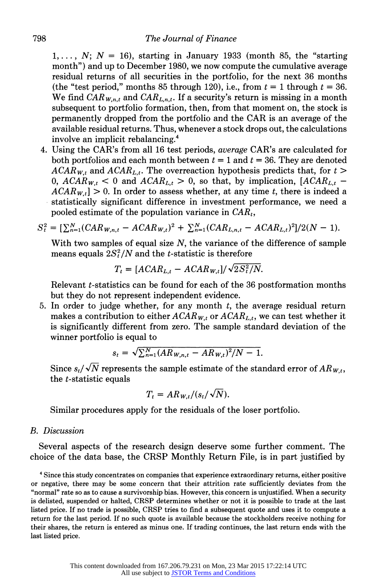1,...,  $N$ ;  $N = 16$ ), starting in January 1933 (month 85, the "starting" **month") and up to December 1980, we now compute the cumulative average residual returns of all securities in the portfolio, for the next 36 months**  (the "test period," months 85 through 120), i.e., from  $t = 1$  through  $t = 36$ . We find  $CAR_{W,n,t}$  and  $CAR_{L,n,t}$ . If a security's return is missing in a month **subsequent to portfolio formation, then, from that moment on, the stock is permanently dropped from the portfolio and the CAR is an average of the available residual returns. Thus, whenever a stock drops out, the calculations involve an implicit rebalancing.4** 

**4. Using the CAR's from all 16 test periods, average CAR's are calculated for**  both portfolios and each month between  $t = 1$  and  $t = 36$ . They are denoted  $ACAR_{W,t}$  and  $ACAR_{L,t}$ . The overreaction hypothesis predicts that, for  $t >$ 0,  $ACAR_{W,t} < 0$  and  $ACAR_{L,t} > 0$ , so that, by implication,  $ACAR_{L,t}$  $ACAR_{W,t}$  > 0. In order to assess whether, at any time t, there is indeed a **statistically significant difference in investment performance, we need a**  pooled estimate of the population variance in  $CAR_t$ ,

$$
S_t^2 = \left[\sum_{n=1}^N (CAR_{W,n,t} - ACAR_{W,t})^2 + \sum_{n=1}^N (CAR_{L,n,t} - ACAR_{L,t})^2\right]/2(N-1).
$$

**With two samples of equal size N, the variance of the difference of sample**  means equals  $2S_t^2/N$  and the *t*-statistic is therefore

$$
T_t = [ACAR_{L,t} - ACAR_{W,t}]/\sqrt{2S_t^2/N}.
$$

**Relevant t-statistics can be found for each of the 36 postformation months but they do not represent independent evidence.** 

**5. In order to judge whether, for any month t, the average residual return**  makes a contribution to either  $ACAR_{W,t}$  or  $ACAR_{L,t}$ , we can test whether it **is significantly different from zero. The sample standard deviation of the winner portfolio is equal to** 

$$
s_t = \sqrt{\sum_{n=1}^{N} (AR_{W,n,t} - AR_{W,t})^2/N - 1}.
$$

Since  $s_t/\sqrt{N}$  represents the sample estimate of the standard error of  $AR_{W,t}$ , **the t-statistic equals** 

$$
T_t = AR_{W,t}/(s_t/\sqrt{N}).
$$

**Similar procedures apply for the residuals of the loser portfolio.** 

#### **B. Discussion**

**Several aspects of the research design deserve some further comment. The choice of the data base, the CRSP Monthly Return File, is in part justified by** 

**4Since this study concentrates on companies that experience extraordinary returns, either positive or negative, there may be some concern that their attrition rate sufficiently deviates from the "normal" rate so as to cause a survivorship bias. However, this concern is unjustified. When a security is delisted, suspended or halted, CRSP determines whether or not it is possible to trade at the last listed price. If no trade is possible, CRSP tries to find a subsequent quote and uses it to compute a return for the last period. If no such quote is available because the stockholders receive nothing for their shares, the return is entered as minus one. If trading continues, the last return ends with the last listed price.**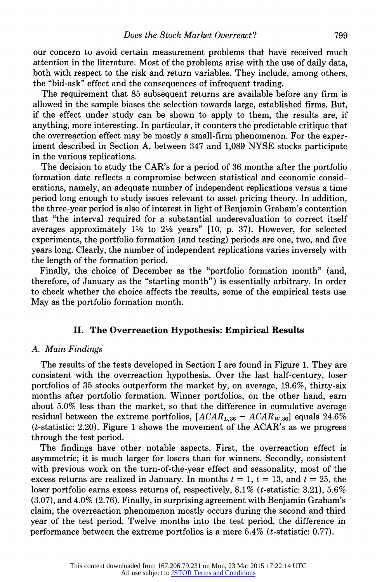**our concern to avoid certain measurement problems that have received much attention in the literature. Most of the problems arise with the use of daily data, both with respect to the risk and return variables. They include, among others, the "bid-ask" effect and the consequences of infrequent trading.** 

**The requirement that 85 subsequent returns are available before any firm is allowed in the sample biases the selection towards large, established firms. But, if the effect under study can be shown to apply to them, the results are, if anything, more interesting. In particular, it counters the predictable critique that the overreaction effect may be mostly a small-firm phenomenon. For the experiment described in Section A, between 347 and 1,089 NYSE stocks participate in the various replications.** 

**The decision to study the CAR's for a period of 36 months after the portfolio formation date reflects a compromise between statistical and economic considerations, namely, an adequate number of independent replications versus a time period long enough to study issues relevant to asset pricing theory. In addition, the three-year period is also of interest in light of Benjamin Graham's contention that "the interval required for a substantial underevaluation to correct itself averages approximately 11/2 to 21/2 years" [10, p. 37). However, for selected experiments, the portfolio formation (and testing) periods are one, two, and five years long. Clearly, the number of independent replications varies inversely with the length of the formation period.** 

**Finally, the choice of December as the "portfolio formation month" (and, therefore, of January as the "starting month") is essentially arbitrary. In order to check whether the choice affects the results, some of the empirical tests use May as the portfolio formation month.** 

### **II. The Overreaction Hypothesis: Empirical Results**

### **A. Main Findings**

The results of the tests developed in Section I are found in Figure 1. They are **consistent with the overreaction hypothesis. Over the last half-century, loser portfolios of 35 stocks outperform the market by, on average, 19.6%, thirty-six months after portfolio formation. Winner portfolios, on the other hand, earn about 5.0% less than the market, so that the difference in cumulative average residual between the extreme portfolios,**  $[ACAR_{L,36} - ACAR_{W,36}]$  equals 24.6% **(t-statistic: 2.20). Figure 1 shows the movement of the ACAR's as we progress through the test period.** 

**The findings have other notable aspects. First, the overreaction effect is asymmetric; it is much larger for losers than for winners. Secondly, consistent with previous work on the turn-of-the-year effect and seasonality, most of the**  excess returns are realized in January. In months  $t = 1$ ,  $t = 13$ , and  $t = 25$ , the **loser portfolio earns excess returns of, respectively, 8.1% (t-statistic: 3.21), 5.6% (3.07), and 4.0% (2.76). Finally, in surprising agreement with Benjamin Graham's claim, the overreaction phenomenon mostly occurs during the second and third year of the test period. Twelve months into the test period, the difference in performance between the extreme portfolios is a mere 5.4% (t-statistic: 0.77).**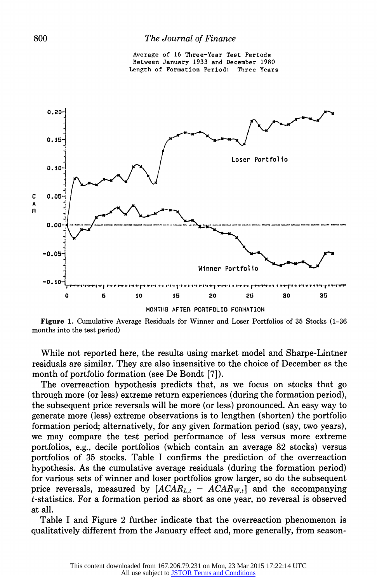



**Figure 1. Cumulative Average Residuals for Winner and Loser Portfolios of 35 Stocks (1-36 months into the test period)** 

**While not reported here, the results using market model and Sharpe-Lintner residuals are similar. They are also insensitive to the choice of December as the month of portfolio formation (see De Bondt [7]).** 

**The overreaction hypothesis predicts that, as we focus on stocks that go through more (or less) extreme return experiences (during the formation period), the subsequent price reversals will be more (or less) pronounced. An easy way to generate more (less) extreme observations is to lengthen (shorten) the portfolio formation period; alternatively, for any given formation period (say, two years), we may compare the test period performance of less versus more extreme portfolios, e.g., decile portfolios (which contain an average 82 stocks) versus portfolios of 35 stocks. Table I confirms the prediction of the overreaction hypothesis. As the cumulative average residuals (during the formation period) for various sets of winner and loser portfolios grow larger, so do the subsequent**  price reversals, measured by  $[ACAR_{L,t} - ACAR_{W,t}]$  and the accompanying **t-statistics. For a formation period as short as one year, no reversal is observed at all.** 

**Table I and Figure 2 further indicate that the overreaction phenomenon is qualitatively different from the January effect and, more generally, from season-**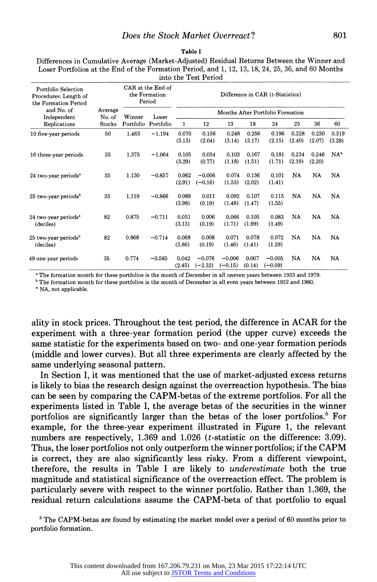#### **Table I**

| Differences in Cumulative Average (Market-Adjusted) Residual Returns Between the Winner and       |
|---------------------------------------------------------------------------------------------------|
| Loser Portfolios at the End of the Formation Period, and 1, 12, 13, 18, 24, 25, 36, and 60 Months |
| into the Test Period                                                                              |

| Portfolio Selection<br>Procedures: Length of<br>the Formation Period<br>and No. of<br>Independent<br>Replications | Average<br>No. of<br>Stocks | CAR at the End of<br>the Formation<br>Period |                    | Difference in CAR (t-Statistics) |                       |                       |                 |                       |                 |                 |                 |  |
|-------------------------------------------------------------------------------------------------------------------|-----------------------------|----------------------------------------------|--------------------|----------------------------------|-----------------------|-----------------------|-----------------|-----------------------|-----------------|-----------------|-----------------|--|
|                                                                                                                   |                             | Winner<br>Portfolio                          | Loser<br>Portfolio | Months After Portfolio Formation |                       |                       |                 |                       |                 |                 |                 |  |
|                                                                                                                   |                             |                                              |                    | 1                                | 12                    | 13                    | 18              | 24                    | 25              | 36              | 60              |  |
| 10 five-year periods                                                                                              | 50                          | 1.463                                        | $-1.194$           | 0.070<br>(3.13)                  | 0.156<br>(2.04)       | 0.248<br>(3.14)       | 0.256<br>(3.17) | 0.196<br>(2.15)       | 0.228<br>(2.40) | 0.230<br>(2.07) | 0.319<br>(3.28) |  |
| 16 three-year periods                                                                                             | 35                          | 1.375                                        | $-1.064$           | 0.105<br>(3.29)                  | 0.054<br>(0.77)       | 0.103<br>(1.18)       | 0.167<br>(1.51) | 0.181<br>(1.71)       | 0.234<br>(2.19) | 0.246<br>(2.20) | $NA*$           |  |
| 24 two-year periods <sup>®</sup>                                                                                  | 35                          | 1.130                                        | $-0.857$           | 0.062<br>(2.91)                  | $-0.006$<br>$(-0.16)$ | 0.074<br>(1.53)       | 0.136<br>(2.02) | 0.101<br>(1.41)       | NA              | <b>NA</b>       | NA              |  |
| 25 two-year periods <sup>b</sup>                                                                                  | 35                          | 1.119                                        | $-0.866$           | 0.089<br>(3.98)                  | 0.011<br>(0.19)       | 0.092<br>(1.48)       | 0.107<br>(1.47) | 0.115<br>(1.55)       | <b>NA</b>       | NA              | NA              |  |
| 24 two-year periods <sup>®</sup><br>(deciles)                                                                     | 82                          | 0.875                                        | $-0.711$           | 0.051<br>(3.13)                  | 0.006<br>(0.19)       | 0.066<br>(1.71)       | 0.105<br>(1.99) | 0.083<br>(1.49)       | NA              | NA              | NA              |  |
| 25 two-year periods"<br>(deciles)                                                                                 | 82                          | 0.868                                        | $-0.714$           | 0.068<br>(3.86)                  | 0.008<br>(0.19)       | 0.071<br>(1.46)       | 0.078<br>(1.41) | 0.072<br>(1.29)       | NA              | NA              | <b>NA</b>       |  |
| 49 one-year periods                                                                                               | 35                          | 0.774                                        | $-0.585$           | 0.042<br>(2.45)                  | $-0.076$<br>$(-2.32)$ | $-0.006$<br>$(-0.15)$ | 0.007<br>(0.14) | $-0.005$<br>$(-0.09)$ | NA              | NA              | NA              |  |

**The formation month for these portfolios is the month of Decemher in all uneven years hetween 1933 and 1979.** 

<sup>b</sup> The formation month for these portfolios is the month of December in all even years between 1932 and 1980.

**\* NA, not applicable.** 

**ality in stock prices. Throughout the test period, the difference in ACAR for the experiment with a three-year formation period (the upper curve) exceeds the same statistic for the experiments based on two- and one-year formation periods (middle and lower curves). But all three experiments are clearly affected by the same underlying seasonal pattern.** 

**In Section I, it was mentioned that the use of market-adjusted excess returns is likely to bias the research design against the overreaction hypothesis. The bias can be seen by comparing the CAPM-betas of the extreme portfolios. For all the experiments listed in Table I, the average betas of the securities in the winner portfolios are significantly larger than the betas of the loser portfolios.5 For example, for the three-year experiment illustrated in Figure 1, the relevant numbers are respectively, 1.369 and 1.026 (t-statistic on the difference: 3.09). Thus, the loser portfolios not only outperform the winner portfolios; if the CAPM is correct, they are also significantly less risky. From a different viewpoint, therefore, the results in Table I are likely to underestimate both the true magnitude and statistical significance of the overreaction effect. The problem is particularly severe with respect to the winner portfolio. Rather than 1.369, the residual return calculations assume the CAPM-beta of that portfolio to equal** 

**5The CAPM-betas are found by estimating the market model over a period of 60 months prior to portfolio formation.**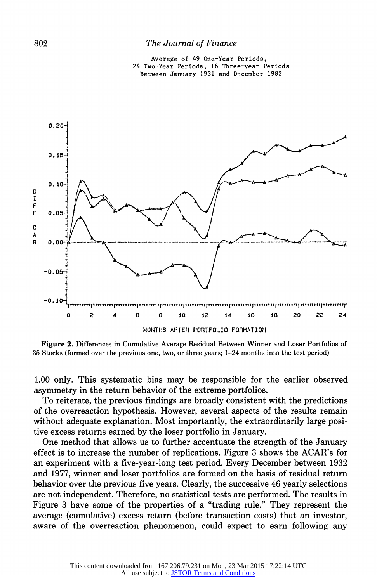



**Figure 2. Differences in Cumulative Average Residual Between Winner and Loser Portfolios of 35 Stocks (formed over the previous one, two, or three years; 1-24 months into the test period)** 

**1.00 only. This systematic bias may be responsible for the earlier observed asymmetry in the return behavior of the extreme portfolios.** 

**To reiterate, the previous findings are broadly consistent with the predictions of the overreaction hypothesis. However, several aspects of the results remain without adequate explanation. Most importantly, the extraordinarily large positive excess returns earned by the loser portfolio in January.** 

**One method that allows us to further accentuate the strength of the January effect is to increase the number of replications. Figure 3 shows the ACAR's for an experiment with a five-year-long test period. Every December between 1932 and 1977, winner and loser portfolios are formed on the basis of residual return behavior over the previous five years. Clearly, the successive 46 yearly selections are not independent. Therefore, no statistical tests are performed. The results in Figure 3 have some of the properties of a "trading rule." They represent the average (cumulative) excess return (before transaction costs) that an investor, aware of the overreaction phenomenon, could expect to earn following any**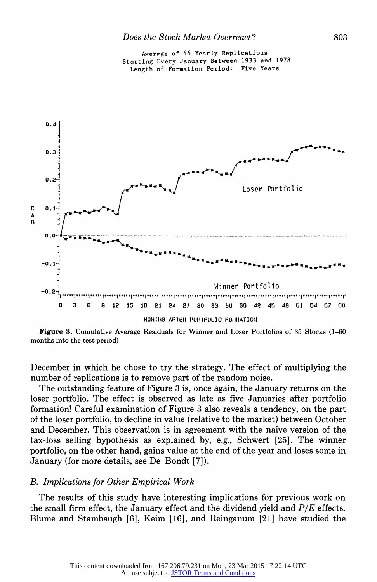

**Average of 46 Yearly Replications Starting Every January Between 1933 and 1978 Length of Formation Period: Five Years** 

**Figure 3. Cumulative Average Residuals for Winner and Loser Portfolios of 35 Stocks (1-60 months into the test period)** 

**December in which he chose to try the strategy. The effect of multiplying the number of replications is to remove part of the random noise.** 

**The outstanding feature of Figure 3 is, once again, the January returns on the loser portfolio. The effect is observed as late as five Januaries after portfolio formation! Careful examination of Figure 3 also reveals a tendency, on the part of the loser portfolio, to decline in value (relative to the market) between October and December. This observation is in agreement with the naive version of the tax-loss selling hypothesis as explained by, e.g., Schwert [25]. The winner portfolio, on the other hand, gains value at the end of the year and loses some in January (for more details, see De Bondt [7]).** 

#### **B. Implications for Other Empirical Work**

**The results of this study have interesting implications for previous work on**  the small firm effect, the January effect and the dividend yield and  $P/E$  effects. **Blume and Stambaugh [6], Keim [16], and Reinganum [21] have studied the**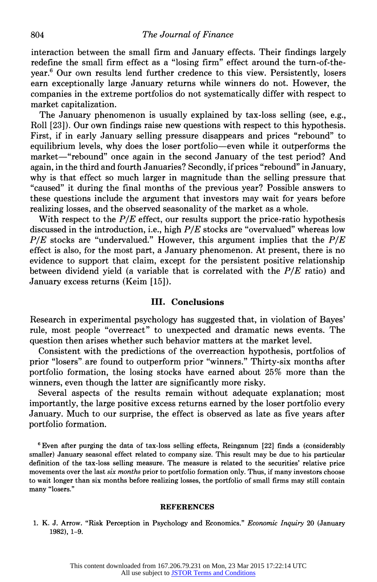**interaction between the small firm and January effects. Their findings largely redefine the small firm effect as a "losing firm" effect around the turn-of-theyear.6 Our own results lend further credence to this view. Persistently, losers earn exceptionally large January returns while winners do not. However, the companies in the extreme portfolios do not systematically differ with respect to market capitalization.** 

**The January phenomenon is usually explained by tax-loss selling (see, e.g., Roll [23]). Our own findings raise new questions with respect to this hypothesis. First, if in early January selling pressure disappears and prices "rebound" to equilibrium levels, why does the loser portfolio-even while it outperforms the market-"rebound" once again in the second January of the test period? And again, in the third and fourth Januaries? Secondly, if prices "rebound" in January, why is that effect so much larger in magnitude than the selling pressure that "caused" it during the final months of the previous year? Possible answers to these questions include the argument that investors may wait for years before realizing losses, and the observed seasonality of the market as a whole.** 

With respect to the  $P/E$  effect, our results support the price-ratio hypothesis **discussed in the introduction, i.e., high PIE stocks are "overvalued" whereas low**   $P/E$  stocks are "undervalued." However, this argument implies that the  $P/E$ **effect is also, for the most part, a January phenomenon. At present, there is no evidence to support that claim, except for the persistent positive relationship**  between dividend yield (a variable that is correlated with the P/E ratio) and **January excess returns (Keim [15]).** 

## **III. Conclusions**

**Research in experimental psychology has suggested that, in violation of Bayes' rule, most people "overreact" to unexpected and dramatic news events. The question then arises whether such behavior matters at the market level.** 

**Consistent with the predictions of the overreaction hypothesis, portfolios of prior "losers", are found to outperform prior "winners." Thirty-six months after portfolio formation, the losing stocks have earned about 25% more than the winners, even though the latter are significantly more risky.** 

**Several aspects of the results remain without adequate explanation; most importantly, the large positive excess returns earned by the loser portfolio every January. Much to our surprise, the effect is observed as late as five years after portfolio formation.** 

**' Even after purging the data of tax-loss selling effects, Reinganum [22] finds a (considerably smaller) January seasonal effect related to company size. This result may be due to his particular definition of the tax-loss selling measure. The measure is related to the securities' relative price movements over the last six months prior to portfolio formation only. Thus, if many investors choose to wait longer than six months before realizing losses, the portfolio of small firms may still contain many "losers."** 

#### **REFERENCES**

**1. K. J. Arrow. "Risk Perception in Psychology and Economics." Economic Inquiry 20 (January 1982), 1-9.**